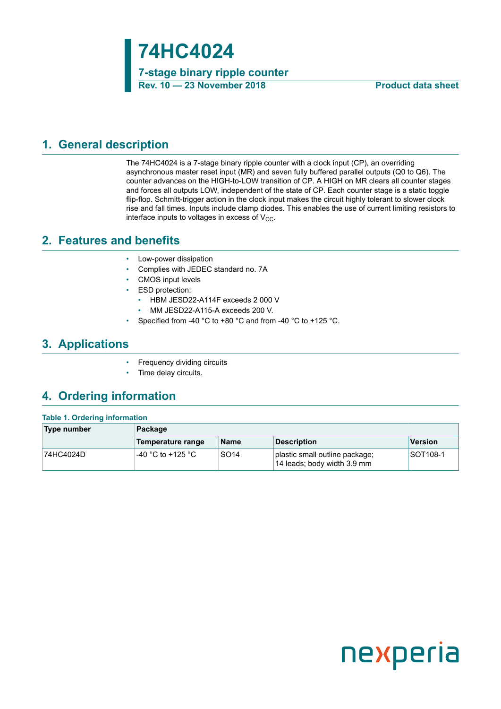**74HC4024**

**7-stage binary ripple counter Rev. 10 — 23 November 2018 Product data sheet**

### <span id="page-0-0"></span>**1. General description**

The 74HC4024 is a 7-stage binary ripple counter with a clock input (CP), an overriding asynchronous master reset input (MR) and seven fully buffered parallel outputs (Q0 to Q6). The counter advances on the HIGH-to-LOW transition of CP. A HIGH on MR clears all counter stages and forces all outputs LOW, independent of the state of CP. Each counter stage is a static toggle flip-flop. Schmitt-trigger action in the clock input makes the circuit highly tolerant to slower clock rise and fall times. Inputs include clamp diodes. This enables the use of current limiting resistors to interface inputs to voltages in excess of  $V_{CC}$ .

### <span id="page-0-1"></span>**2. Features and benefits**

- Low-power dissipation
- Complies with JEDEC standard no. 7A
- CMOS input levels
- ESD protection:
	- HBM JESD22-A114F exceeds 2 000 V
	- MM JESD22-A115-A exceeds 200 V.
- Specified from -40 °C to +80 °C and from -40 °C to +125 °C.

### <span id="page-0-2"></span>**3. Applications**

- Frequency dividing circuits
- Time delay circuits.

### <span id="page-0-3"></span>**4. Ordering information**

#### **Table 1. Ordering information**

| Type number | Package                   |                  |                                                               |                 |  |
|-------------|---------------------------|------------------|---------------------------------------------------------------|-----------------|--|
|             | Temperature range         | <b>Name</b>      | Description                                                   | Version         |  |
| 74HC4024D   | $\cdot$ -40 °C to +125 °C | SO <sub>14</sub> | plastic small outline package;<br>14 leads; body width 3.9 mm | <b>SOT108-1</b> |  |

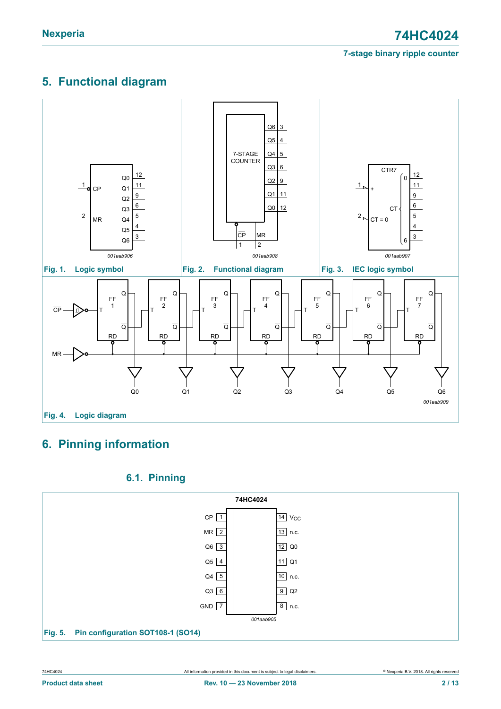# <span id="page-1-0"></span>**5. Functional diagram**



# <span id="page-1-1"></span>**6. Pinning information**

### <span id="page-1-2"></span>**6.1. Pinning**

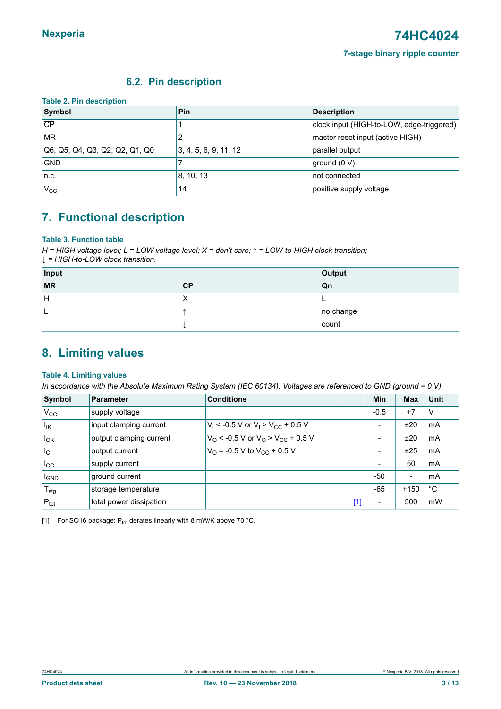### <span id="page-2-1"></span><span id="page-2-0"></span>**6.2. Pin description**

| <b>Table 2. Pin description</b> |                       |                                           |
|---------------------------------|-----------------------|-------------------------------------------|
| Symbol                          | <b>Pin</b>            | <b>Description</b>                        |
| CP                              |                       | clock input (HIGH-to-LOW, edge-triggered) |
| <b>MR</b>                       |                       | master reset input (active HIGH)          |
| Q6, Q5, Q4, Q3, Q2, Q2, Q1, Q0  | 3, 4, 5, 6, 9, 11, 12 | parallel output                           |
| <b>GND</b>                      |                       | ground $(0 V)$                            |
| n.c.                            | 8, 10, 13             | not connected                             |
| $V_{\rm CC}$                    | 14                    | positive supply voltage                   |

# <span id="page-2-2"></span>**7. Functional description**

#### **Table 3. Function table**

*H = HIGH voltage level; L = LOW voltage level; X = don't care; ↑ = LOW-to-HIGH clock transition; ↓ = HIGH-to-LOW clock transition.*

| Input                    |           | Output       |
|--------------------------|-----------|--------------|
| $\overline{\mathsf{MR}}$ | CP        | Qn           |
| ΙH                       | $\lambda$ |              |
|                          |           | $ no$ change |
|                          |           | count        |

## <span id="page-2-3"></span>**8. Limiting values**

#### **Table 4. Limiting values**

In accordance with the Absolute Maximum Rating System (IEC 60134). Voltages are referenced to GND (ground = 0 V).

| Symbol             | <b>Parameter</b>        | <b>Conditions</b>                                | Min                      | <b>Max</b>               | <b>Unit</b>             |
|--------------------|-------------------------|--------------------------------------------------|--------------------------|--------------------------|-------------------------|
| $V_{\rm CC}$       | supply voltage          |                                                  | $-0.5$                   | $+7$                     | V                       |
| $I_{IK}$           | input clamping current  | $V_1$ < -0.5 V or $V_1$ > $V_{CC}$ + 0.5 V       | $\overline{\phantom{0}}$ | ±20                      | mA                      |
| $I_{OK}$           | output clamping current | $V_O$ < -0.5 V or $V_O$ > $V_{CC}$ + 0.5 V       | -                        | ±20                      | mA                      |
| $I_{\rm O}$        | output current          | $V_{\Omega}$ = -0.5 V to $V_{\text{CC}}$ + 0.5 V | $\overline{\phantom{a}}$ | ±25                      | $\mathsf{Im}\mathsf{A}$ |
| $I_{\rm CC}$       | supply current          |                                                  | $\overline{\phantom{0}}$ | 50                       | ∣mA                     |
| $I_{\mathsf{GND}}$ | ground current          |                                                  | -50                      | $\overline{\phantom{a}}$ | mA                      |
| $T_{\text{stg}}$   | storage temperature     |                                                  | $-65$                    | $+150$                   | $^{\circ}C$             |
| $P_{\text{tot}}$   | total power dissipation | [1]                                              | -                        | 500                      | mW                      |

[1] For SO16 package:  $P_{tot}$  derates linearly with 8 mW/K above 70 °C.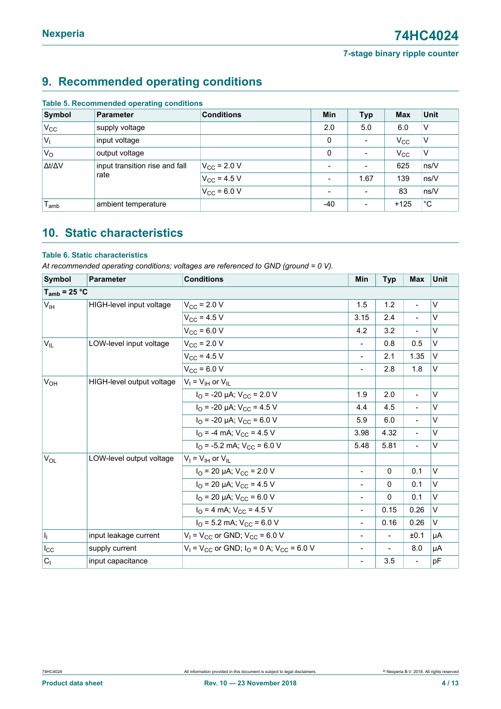# <span id="page-3-0"></span>**9. Recommended operating conditions**

| Symbol           | <b>Parameter</b>               | <b>Conditions</b>    | Min                      | <b>Typ</b>               | <b>Max</b>   | <b>Unit</b>  |
|------------------|--------------------------------|----------------------|--------------------------|--------------------------|--------------|--------------|
| $V_{\rm CC}$     | supply voltage                 |                      | 2.0                      | 5.0                      | 6.0          | ν            |
| $ V_1$           | input voltage                  |                      | 0                        |                          | $V_{\rm CC}$ | ν            |
| $V_{\rm O}$      | output voltage                 |                      | 0                        | $\overline{\phantom{a}}$ | $V_{\rm CC}$ | ٧            |
| Δt/ΔV            | input transition rise and fall | $V_{\rm CC}$ = 2.0 V | $\overline{\phantom{a}}$ |                          | 625          | ns/V         |
|                  | rate                           | $V_{CC}$ = 4.5 V     | $\overline{\phantom{a}}$ | 1.67                     | 139          | ns/V         |
|                  |                                | $V_{CC}$ = 6.0 V     | $\overline{\phantom{a}}$ |                          | 83           | ns/V         |
| l <sub>amb</sub> | ambient temperature            |                      | -40                      |                          | $+125$       | $^{\circ}$ C |

#### **Table 5. Recommended operating conditions**

## <span id="page-3-1"></span>**10. Static characteristics**

### **Table 6. Static characteristics**

*At recommended operating conditions; voltages are referenced to GND (ground = 0 V).*

| Symbol            | <b>Parameter</b>          | <b>Conditions</b>                                                    | <b>Min</b>               | <b>Typ</b>     | <b>Max</b>               | Unit   |
|-------------------|---------------------------|----------------------------------------------------------------------|--------------------------|----------------|--------------------------|--------|
| $T_{amb}$ = 25 °C |                           |                                                                      |                          |                |                          |        |
| V <sub>IH</sub>   | HIGH-level input voltage  | $V_{\rm CC}$ = 2.0 V                                                 | 1.5                      | 1.2            | $\overline{\phantom{a}}$ | $\vee$ |
|                   |                           | $V_{CC}$ = 4.5 V                                                     | 3.15                     | 2.4            | $\overline{\phantom{a}}$ | $\vee$ |
|                   |                           | $V_{CC}$ = 6.0 V                                                     | 4.2                      | 3.2            |                          | $\vee$ |
| $V_{IL}$          | LOW-level input voltage   | $V_{CC}$ = 2.0 V                                                     | $\overline{\phantom{a}}$ | 0.8            | 0.5                      | V      |
|                   |                           | $V_{CC}$ = 4.5 V                                                     | $\overline{a}$           | 2.1            | 1.35                     | $\vee$ |
|                   |                           | $V_{CC}$ = 6.0 V                                                     | $\overline{\phantom{a}}$ | 2.8            | 1.8                      | V      |
| $V_{OH}$          | HIGH-level output voltage | $V_1 = V_{1H}$ or $V_{1L}$                                           |                          |                |                          |        |
|                   |                           | $I_{\text{O}}$ = -20 µA; $V_{\text{CC}}$ = 2.0 V                     | 1.9                      | 2.0            | $\overline{\phantom{a}}$ | $\vee$ |
|                   |                           | $I_{\text{O}}$ = -20 µA; $V_{\text{CC}}$ = 4.5 V                     | 4.4                      | 4.5            | $\blacksquare$           | $\vee$ |
|                   |                           | $I_{\text{O}}$ = -20 µA; $V_{\text{CC}}$ = 6.0 V                     | 5.9                      | 6.0            | $\overline{\phantom{a}}$ | $\vee$ |
|                   |                           | $I_{\rm O}$ = -4 mA; $V_{\rm CC}$ = 4.5 V                            | 3.98                     | 4.32           |                          | $\vee$ |
|                   |                           | $I_{\Omega}$ = -5.2 mA; $V_{\text{CC}}$ = 6.0 V                      | 5.48                     | 5.81           | $\overline{\phantom{a}}$ | $\vee$ |
| $V_{OL}$          | LOW-level output voltage  | $V_I = V_{IH}$ or $V_{IL}$                                           |                          |                |                          |        |
|                   |                           | $I_{\text{O}}$ = 20 µA; $V_{\text{CC}}$ = 2.0 V                      | $\overline{\phantom{0}}$ | $\Omega$       | 0.1                      | $\vee$ |
|                   |                           | $I_{\text{O}}$ = 20 µA; $V_{\text{CC}}$ = 4.5 V                      | $\overline{a}$           | $\Omega$       | 0.1                      | $\vee$ |
|                   |                           | $I_{\text{O}}$ = 20 µA; $V_{\text{CC}}$ = 6.0 V                      | $\overline{a}$           | 0              | 0.1                      | $\vee$ |
|                   |                           | $I_{\Omega}$ = 4 mA; $V_{\text{CC}}$ = 4.5 V                         | $\overline{\phantom{0}}$ | 0.15           | 0.26                     | $\vee$ |
|                   |                           | $I_{\text{O}}$ = 5.2 mA; $V_{\text{CC}}$ = 6.0 V                     | $\frac{1}{2}$            | 0.16           | 0.26                     | V      |
| h                 | input leakage current     | $V_1$ = $V_{CC}$ or GND; $V_{CC}$ = 6.0 V                            | $\overline{\phantom{a}}$ | $\blacksquare$ | ±0.1                     | μA     |
| $I_{\rm CC}$      | supply current            | $V_1$ = V <sub>CC</sub> or GND; $I_0$ = 0 A; V <sub>CC</sub> = 6.0 V | $\overline{\phantom{a}}$ |                | 8.0                      | μA     |
| C <sub>1</sub>    | input capacitance         |                                                                      | $\overline{\phantom{0}}$ | 3.5            | $\overline{\phantom{a}}$ | pF     |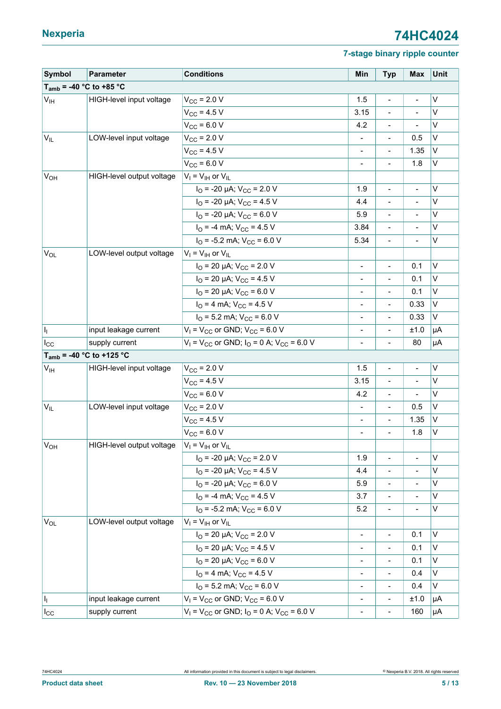# **Nexperia 74HC4024**

### **7-stage binary ripple counter**

| Symbol                       | Parameter                     | <b>Conditions</b>                                                    | Min                          | <b>Typ</b>                   | <b>Max</b>               | Unit         |
|------------------------------|-------------------------------|----------------------------------------------------------------------|------------------------------|------------------------------|--------------------------|--------------|
| $T_{amb}$ = -40 °C to +85 °C |                               |                                                                      |                              |                              |                          |              |
| V <sub>IH</sub>              | HIGH-level input voltage      | $V_{\text{CC}}$ = 2.0 V                                              | 1.5                          | $\frac{1}{2}$                | $\overline{\phantom{0}}$ | $\vee$       |
|                              |                               | $V_{CC}$ = 4.5 V                                                     | 3.15                         | $\qquad \qquad \blacksquare$ |                          | V            |
|                              |                               | $V_{CC}$ = 6.0 V                                                     | 4.2                          | $\qquad \qquad \blacksquare$ |                          | $\vee$       |
| $V_{IL}$                     | LOW-level input voltage       | $V_{\rm CC}$ = 2.0 V                                                 | $\overline{\phantom{a}}$     | $\overline{\phantom{a}}$     | 0.5                      | $\vee$       |
|                              |                               | $V_{\rm CC}$ = 4.5 V                                                 |                              |                              | 1.35                     | $\vee$       |
|                              |                               | $V_{CC}$ = 6.0 V                                                     | $\blacksquare$               | $\blacksquare$               | 1.8                      | V            |
| <b>V<sub>OH</sub></b>        | HIGH-level output voltage     | $V_1 = V_{\text{IH}}$ or $V_{\text{IL}}$                             |                              |                              |                          |              |
|                              |                               | $I_{\text{O}}$ = -20 µA; $V_{\text{CC}}$ = 2.0 V                     | 1.9                          | $\overline{\phantom{a}}$     | $\overline{\phantom{a}}$ | V            |
|                              |                               | $I_{\rm O}$ = -20 µA; $V_{\rm CC}$ = 4.5 V                           | 4.4                          |                              |                          | $\vee$       |
|                              |                               | $I_{\text{O}}$ = -20 µA; $V_{\text{CC}}$ = 6.0 V                     | 5.9                          | $\blacksquare$               |                          | V            |
|                              |                               | $I_{\rm O}$ = -4 mA; $V_{\rm CC}$ = 4.5 V                            | 3.84                         | $\qquad \qquad \blacksquare$ |                          | $\mathsf{v}$ |
|                              |                               | $IO$ = -5.2 mA; $VCC$ = 6.0 V                                        | 5.34                         | $\blacksquare$               |                          | $\vee$       |
| $V_{OL}$                     | LOW-level output voltage      | $V_I = V_{IH}$ or $V_{IL}$                                           |                              |                              |                          |              |
|                              |                               | $I_{\text{O}}$ = 20 µA; $V_{\text{CC}}$ = 2.0 V                      | $\blacksquare$               | $\blacksquare$               | 0.1                      | $\vee$       |
|                              |                               | $I_{\text{O}}$ = 20 µA; $V_{\text{CC}}$ = 4.5 V                      | $\overline{\phantom{0}}$     | $\qquad \qquad -$            | 0.1                      | $\vee$       |
|                              |                               | $I_{\text{O}}$ = 20 µA; $V_{\text{CC}}$ = 6.0 V                      | $\overline{\phantom{a}}$     | $\frac{1}{2}$                | 0.1                      | $\vee$       |
|                              |                               | $I_{\rm O}$ = 4 mA; $V_{\rm CC}$ = 4.5 V                             | $\overline{\phantom{a}}$     | $\qquad \qquad \blacksquare$ | 0.33                     | V            |
|                              |                               | $IO$ = 5.2 mA; $VCC$ = 6.0 V                                         | $\overline{\phantom{0}}$     |                              | 0.33                     | $\vee$       |
| h                            | input leakage current         | $V_1$ = $V_{CC}$ or GND; $V_{CC}$ = 6.0 V                            | -                            | $\qquad \qquad \blacksquare$ | ±1.0                     | μA           |
| $I_{\rm CC}$                 | supply current                | $V_1$ = V <sub>CC</sub> or GND; $I_0$ = 0 A; V <sub>CC</sub> = 6.0 V |                              |                              | 80                       | μA           |
|                              | $T_{amb}$ = -40 °C to +125 °C |                                                                      |                              |                              |                          |              |
| V <sub>IH</sub>              | HIGH-level input voltage      | $V_{\rm CC}$ = 2.0 V                                                 | 1.5                          | $\overline{a}$               | $\overline{\phantom{0}}$ | V            |
|                              |                               | $V_{CC}$ = 4.5 V                                                     | 3.15                         | $\blacksquare$               | $\frac{1}{2}$            | V            |
|                              |                               | $V_{CC}$ = 6.0 V                                                     | 4.2                          | $\qquad \qquad \blacksquare$ |                          | $\vee$       |
| $V_{IL}$                     | LOW-level input voltage       | $V_{\text{CC}}$ = 2.0 V                                              | $\overline{\phantom{a}}$     | $\qquad \qquad \blacksquare$ | 0.5                      | V            |
|                              |                               | $V_{CC}$ = 4.5 V                                                     | $\overline{a}$               | $\qquad \qquad \blacksquare$ | 1.35                     | ١v           |
|                              |                               | $V_{\text{CC}}$ = 6.0 V                                              | $\frac{1}{2}$                | $\frac{1}{2}$                | 1.8                      | V            |
| $V_{OH}$                     | HIGH-level output voltage     | $V_I = V_{IH}$ or $V_{IL}$                                           |                              |                              |                          |              |
|                              |                               | $I_{\text{O}}$ = -20 µA; $V_{\text{CC}}$ = 2.0 V                     | 1.9                          | $\frac{1}{2}$                | $\overline{a}$           | $\vee$       |
|                              |                               | $I_{\text{O}}$ = -20 µA; $V_{\text{CC}}$ = 4.5 V                     | 4.4                          | $\overline{\phantom{0}}$     |                          | $\vee$       |
|                              |                               | $I_{\text{O}}$ = -20 µA; $V_{\text{CC}}$ = 6.0 V                     | 5.9                          | $\overline{\phantom{m}}$     | $\overline{\phantom{a}}$ | V            |
|                              |                               | $IO = -4 mA$ ; $VCC = 4.5 V$                                         | 3.7                          | $\overline{\phantom{a}}$     | $\overline{\phantom{m}}$ | V            |
|                              |                               | $IO$ = -5.2 mA; $VCC$ = 6.0 V                                        | 5.2                          | $\blacksquare$               | $\frac{1}{2}$            | $\vee$       |
| $V_{OL}$                     | LOW-level output voltage      | $V_I = V_{IH}$ or $V_{IL}$                                           |                              |                              |                          |              |
|                              |                               | $I_{\text{O}}$ = 20 µA; $V_{\text{CC}}$ = 2.0 V                      | $\blacksquare$               | $\blacksquare$               | 0.1                      | $\mathsf{v}$ |
|                              |                               | $I_{\text{O}}$ = 20 µA; $V_{\text{CC}}$ = 4.5 V                      | $\qquad \qquad \blacksquare$ | $\qquad \qquad \blacksquare$ | 0.1                      | V            |
|                              |                               | $I_{\text{O}}$ = 20 µA; $V_{\text{CC}}$ = 6.0 V                      | -                            | $\qquad \qquad \blacksquare$ | 0.1                      | $\vee$       |
|                              |                               | $I_{\rm O}$ = 4 mA; $V_{\rm CC}$ = 4.5 V                             | $\blacksquare$               | $\blacksquare$               | 0.4                      | V            |
|                              |                               | $IO$ = 5.2 mA; $VCC$ = 6.0 V                                         | $\overline{\phantom{a}}$     | $\qquad \qquad \blacksquare$ | 0.4                      | V            |
| h,                           | input leakage current         | $V_1$ = $V_{CC}$ or GND; $V_{CC}$ = 6.0 V                            | $\overline{\phantom{a}}$     | $\qquad \qquad \blacksquare$ | ±1.0                     | μA           |
| $I_{\rm CC}$                 | supply current                | $V_1$ = V <sub>CC</sub> or GND; $I_0$ = 0 A; V <sub>CC</sub> = 6.0 V | $\overline{\phantom{0}}$     | $\qquad \qquad \blacksquare$ | 160                      | μA           |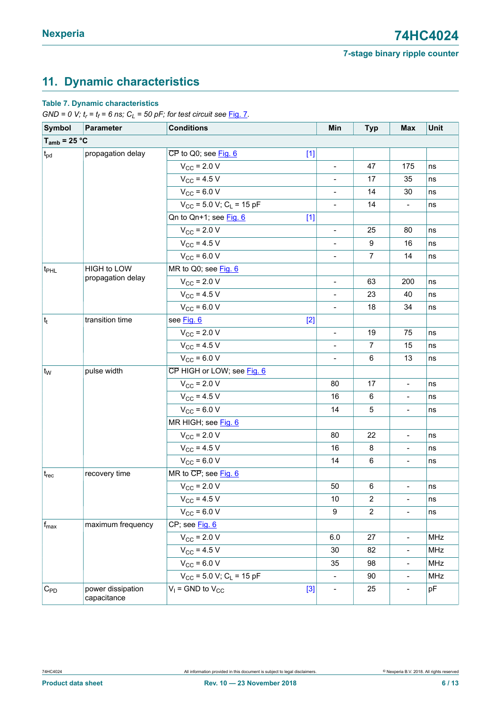# <span id="page-5-0"></span>**11. Dynamic characteristics**

### **Table 7. Dynamic characteristics**

*GND* = 0 V;  $t_r$  =  $t_f$  = 6 ns;  $C_L$  = 50 pF; for test circuit see <u>[Fig. 7](#page-8-0)</u>.

| Symbol            | Parameter                        | <b>Conditions</b>                                                     | Min                          | <b>Typ</b>              | Max                      | Unit |
|-------------------|----------------------------------|-----------------------------------------------------------------------|------------------------------|-------------------------|--------------------------|------|
| $T_{amb}$ = 25 °C |                                  |                                                                       |                              |                         |                          |      |
| $t_{\text{pd}}$   | propagation delay                | $\overline{\text{CP}}$ to Q0; see $\overline{\text{Fig. 6}}$<br>$[1]$ |                              |                         |                          |      |
|                   |                                  | $V_{CC}$ = 2.0 V                                                      | $\overline{a}$               | 47                      | 175                      | ns   |
|                   |                                  | $V_{CC}$ = 4.5 V                                                      |                              | 17                      | 35                       | ns   |
|                   |                                  | $V_{CC}$ = 6.0 V                                                      | $\overline{a}$               | 14                      | 30                       | ns   |
|                   |                                  | $V_{CC}$ = 5.0 V; C <sub>L</sub> = 15 pF                              | $\blacksquare$               | 14                      | $\overline{\phantom{a}}$ | ns   |
|                   |                                  | Qn to Qn+1; see Fig. 6<br>$[1]$                                       |                              |                         |                          |      |
|                   |                                  | $V_{\text{CC}}$ = 2.0 V                                               | $\blacksquare$               | 25                      | 80                       | ns   |
|                   |                                  | $V_{\text{CC}}$ = 4.5 V                                               | $\overline{a}$               | $\boldsymbol{9}$        | 16                       | ns   |
|                   |                                  | $V_{CC}$ = 6.0 V                                                      | $\qquad \qquad \blacksquare$ | $\overline{7}$          | 14                       | ns   |
| ∣t <sub>PHL</sub> | HIGH to LOW                      | MR to Q0; see Fig. 6                                                  |                              |                         |                          |      |
|                   | propagation delay                | $V_{\text{CC}}$ = 2.0 V                                               | $\blacksquare$               | 63                      | 200                      | ns   |
|                   |                                  | $V_{\text{CC}}$ = 4.5 V                                               |                              | 23                      | 40                       | ns   |
|                   |                                  | $V_{CC}$ = 6.0 V                                                      | $\qquad \qquad \blacksquare$ | 18                      | 34                       | ns   |
| $ t_t $           | transition time                  | see Fig. 6<br>$[2]$                                                   |                              |                         |                          |      |
|                   |                                  | $V_{\rm CC}$ = 2.0 V                                                  | $\frac{1}{2}$                | 19                      | 75                       | ns   |
|                   |                                  | $V_{CC}$ = 4.5 V                                                      | $\frac{1}{2}$                | $\overline{7}$          | 15                       | ns   |
|                   |                                  | $V_{CC}$ = 6.0 V                                                      | $\overline{a}$               | 6                       | 13                       | ns   |
| $t_W$             | pulse width                      | CP HIGH or LOW; see Fig. 6                                            |                              |                         |                          |      |
|                   |                                  | $V_{\rm CC}$ = 2.0 V                                                  | 80                           | 17                      | $\blacksquare$           | ns   |
|                   |                                  | $V_{CC}$ = 4.5 V                                                      | 16                           | 6                       | $\overline{\phantom{a}}$ | ns   |
|                   |                                  | $V_{CC}$ = 6.0 V                                                      | 14                           | 5                       |                          | ns   |
|                   |                                  | MR HIGH; see Fig. 6                                                   |                              |                         |                          |      |
|                   |                                  | $V_{\rm CC}$ = 2.0 V                                                  | 80                           | 22                      | $\overline{\phantom{a}}$ | ns   |
|                   |                                  | $V_{\rm CC}$ = 4.5 V                                                  | 16                           | 8                       | $\overline{\phantom{a}}$ | ns   |
|                   |                                  | $V_{CC}$ = 6.0 V                                                      | 14                           | 6                       |                          | ns   |
| $t_{rec}$         | recovery time                    | MR to CP; see Fig. 6                                                  |                              |                         |                          |      |
|                   |                                  | $V_{\rm CC}$ = 2.0 V                                                  | 50                           | 6                       | $\overline{\phantom{a}}$ | ns   |
|                   |                                  | $V_{\text{CC}}$ = 4.5 V                                               | 10 <sub>1</sub>              | $\overline{\mathbf{c}}$ |                          | ns   |
|                   |                                  | $V_{CC}$ = 6.0 V                                                      | 9                            | $\overline{2}$          | $\overline{\phantom{a}}$ | ns   |
| $\sf f_{max}$     | maximum frequency                | CP; see Fig. 6                                                        |                              |                         |                          |      |
|                   |                                  | $V_{CC}$ = 2.0 V                                                      | 6.0                          | 27                      | $\blacksquare$           | MHz  |
|                   |                                  | $V_{CC}$ = 4.5 V                                                      | 30                           | 82                      | $\overline{\phantom{a}}$ | MHz  |
|                   |                                  | $V_{CC}$ = 6.0 V                                                      | 35                           | 98                      | $\overline{\phantom{a}}$ | MHz  |
|                   |                                  | $V_{CC}$ = 5.0 V; C <sub>L</sub> = 15 pF                              |                              | 90                      | $\overline{\phantom{a}}$ | MHz  |
| $C_{PD}$          | power dissipation<br>capacitance | $V_1$ = GND to $V_{CC}$<br>$[3]$                                      | $\qquad \qquad \blacksquare$ | 25                      | $\overline{\phantom{a}}$ | pF   |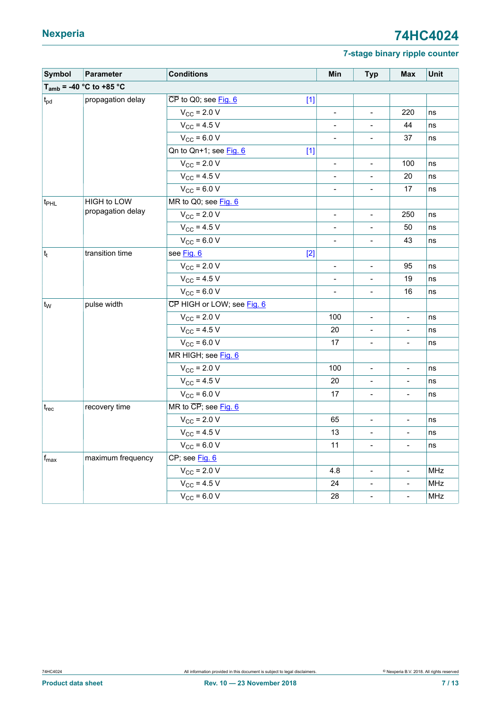| Symbol                        | Parameter                    | <b>Conditions</b>                                 | Min                      | <b>Typ</b>                   | <b>Max</b>                   | Unit       |
|-------------------------------|------------------------------|---------------------------------------------------|--------------------------|------------------------------|------------------------------|------------|
|                               | $T_{amb}$ = -40 °C to +85 °C |                                                   |                          |                              |                              |            |
| $t_{\rm pd}$                  | propagation delay            | $\overline{\text{CP}}$ to Q0; see Fig. 6<br>$[1]$ |                          |                              |                              |            |
|                               |                              | $V_{\rm CC}$ = 2.0 V                              | $\frac{1}{2}$            | $\overline{a}$               | 220                          | ns         |
|                               |                              | $V_{CC}$ = 4.5 V                                  |                          |                              | 44                           | ns         |
|                               |                              | $V_{CC}$ = 6.0 V                                  | $\overline{\phantom{a}}$ | $\overline{\phantom{0}}$     | 37                           | ns         |
|                               |                              | Qn to Qn+1; see Fig. 6<br>$[1]$                   |                          |                              |                              |            |
|                               |                              | $V_{\text{CC}}$ = 2.0 V                           | $\overline{\phantom{m}}$ | $\frac{1}{2}$                | 100                          | ns         |
|                               |                              | $V_{CC}$ = 4.5 V                                  | $\frac{1}{2}$            | $\overline{a}$               | 20                           | ns         |
|                               |                              | $V_{CC}$ = 6.0 V                                  |                          |                              | 17                           | ns         |
| $ t_{\sf PHL} $               | HIGH to LOW                  | MR to Q0; see Fig. 6                              |                          |                              |                              |            |
|                               | propagation delay            | $V_{\text{CC}}$ = 2.0 V                           | $\overline{\phantom{a}}$ | ÷,                           | 250                          | ns         |
|                               |                              | $V_{CC}$ = 4.5 V                                  | $\blacksquare$           | $\frac{1}{2}$                | 50                           | ns         |
|                               |                              | $V_{CC}$ = 6.0 V                                  | $\blacksquare$           | $\overline{a}$               | 43                           | ns         |
| $ t_t $                       | transition time              | $[2]$<br>see Fig. 6                               |                          |                              |                              |            |
|                               |                              | $V_{\text{CC}}$ = 2.0 V                           | $\overline{\phantom{a}}$ | $\overline{\phantom{0}}$     | 95                           | ns         |
|                               |                              | $V_{\rm CC}$ = 4.5 V                              | $\overline{\phantom{m}}$ | $\qquad \qquad -$            | 19                           | ns         |
|                               |                              | $V_{CC}$ = 6.0 V                                  | $\blacksquare$           | $\overline{\phantom{0}}$     | 16                           | ns         |
| $ t_{W}$                      | pulse width                  | CP HIGH or LOW; see Fig. 6                        |                          |                              |                              |            |
|                               |                              | $V_{\rm CC}$ = 2.0 V                              | 100                      |                              |                              | ns         |
|                               |                              | $V_{CC}$ = 4.5 V                                  | 20                       | $\qquad \qquad \blacksquare$ | $\overline{\phantom{a}}$     | ns         |
|                               |                              | $V_{CC}$ = 6.0 V                                  | 17                       | $\frac{1}{2}$                | $\blacksquare$               | ns         |
|                               |                              | MR HIGH; see Fig. 6                               |                          |                              |                              |            |
|                               |                              | $V_{CC}$ = 2.0 V                                  | 100                      | $\overline{\phantom{0}}$     | $\overline{\phantom{a}}$     | ns         |
|                               |                              | $V_{CC}$ = 4.5 V                                  | 20                       |                              |                              | ns         |
|                               |                              | $V_{\text{CC}}$ = 6.0 V                           | 17                       | $\qquad \qquad \blacksquare$ | $\overline{\phantom{a}}$     | ns         |
| $\mathfrak{t}_{\mathsf{rec}}$ | recovery time                | MR to CP; see Fig. 6                              |                          |                              |                              |            |
|                               |                              | $V_{\text{CC}}$ = 2.0 V                           | 65                       | $\frac{1}{2}$                | $\blacksquare$               | ns         |
|                               |                              | $V_{\text{CC}}$ = 4.5 V                           | 13                       | $\overline{\phantom{0}}$     | $\overline{\phantom{a}}$     | ns         |
|                               |                              | $V_{CC}$ = 6.0 V                                  | 11                       | $\overline{\phantom{0}}$     | $\qquad \qquad \blacksquare$ | ns         |
| $f_{\text{max}}$              | maximum frequency            | CP; see Fig. 6                                    |                          |                              |                              |            |
|                               |                              | $V_{\rm CC}$ = 2.0 V                              | 4.8                      | $\overline{\phantom{0}}$     | $\overline{\phantom{a}}$     | <b>MHz</b> |
|                               |                              | $V_{CC}$ = 4.5 V                                  | 24                       | $\overline{\phantom{0}}$     | $\overline{\phantom{a}}$     | MHz        |
|                               |                              | $V_{CC}$ = 6.0 V                                  | 28                       | $\overline{\phantom{0}}$     | $\blacksquare$               | MHz        |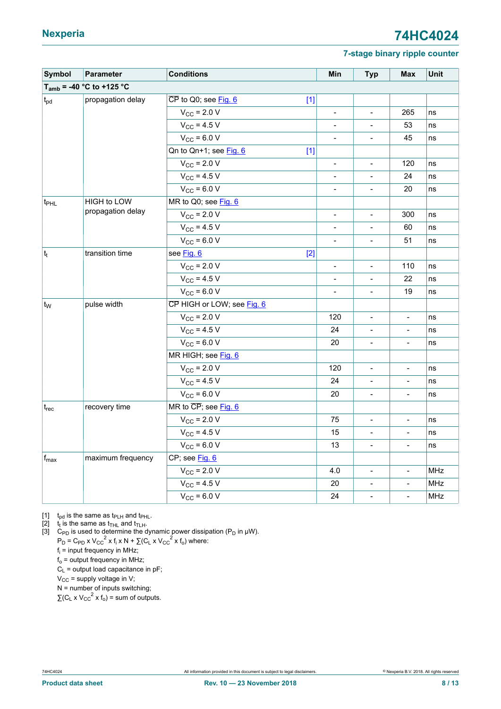<span id="page-7-0"></span>

| Symbol           | Parameter                     | <b>Conditions</b>                                 | Min                          | <b>Typ</b>               | <b>Max</b>               | Unit       |
|------------------|-------------------------------|---------------------------------------------------|------------------------------|--------------------------|--------------------------|------------|
|                  | $T_{amb}$ = -40 °C to +125 °C |                                                   |                              |                          |                          |            |
| $t_{\rm pd}$     | propagation delay             | $\overline{\text{CP}}$ to Q0; see Fig. 6<br>$[1]$ |                              |                          |                          |            |
|                  |                               | $V_{\rm CC}$ = 2.0 V                              | $\qquad \qquad \blacksquare$ | $\overline{\phantom{a}}$ | 265                      | ns         |
|                  |                               | $V_{CC}$ = 4.5 V                                  |                              |                          | 53                       | ns         |
|                  |                               | $V_{CC}$ = 6.0 V                                  | $\qquad \qquad \blacksquare$ |                          | 45                       | ns         |
|                  |                               | Qn to Qn+1; see Fig. 6<br>$[1]$                   |                              |                          |                          |            |
|                  |                               | $V_{\rm CC}$ = 2.0 V                              | $\frac{1}{2}$                | $\blacksquare$           | 120                      | ns         |
|                  |                               | $V_{\text{CC}}$ = 4.5 V                           |                              | $\overline{\phantom{a}}$ | 24                       | ns         |
|                  |                               | $V_{CC}$ = 6.0 V                                  |                              | $\frac{1}{2}$            | 20                       | ns         |
| t <sub>PHL</sub> | HIGH to LOW                   | MR to Q0; see Fig. 6                              |                              |                          |                          |            |
|                  | propagation delay             | $V_{\rm CC}$ = 2.0 V                              | $\qquad \qquad -$            | $\overline{\phantom{a}}$ | 300                      | ns         |
|                  |                               | $V_{\rm CC}$ = 4.5 V                              |                              | $\blacksquare$           | 60                       | ns         |
|                  |                               | $V_{\text{CC}}$ = 6.0 V                           | $\overline{\phantom{m}}$     | $\overline{\phantom{a}}$ | 51                       | ns         |
| $ t_t $          | transition time               | see Fig. 6<br>$[2]$                               |                              |                          |                          |            |
|                  |                               | $V_{\rm CC}$ = 2.0 V                              | $\qquad \qquad -$            | $\overline{\phantom{a}}$ | 110                      | ns         |
|                  |                               | $V_{CC}$ = 4.5 V                                  | $\qquad \qquad \blacksquare$ | $\blacksquare$           | 22                       | ns         |
|                  |                               | $V_{CC}$ = 6.0 V                                  | $\overline{\phantom{0}}$     | $\overline{\phantom{a}}$ | 19                       | ns         |
| $ t_{W}$         | pulse width                   | CP HIGH or LOW; see Fig. 6                        |                              |                          |                          |            |
|                  |                               | $V_{\rm CC}$ = 2.0 V                              | 120                          | $\overline{\phantom{a}}$ | $\overline{a}$           | ns         |
|                  |                               | $V_{CC}$ = 4.5 V                                  | 24                           | $\overline{\phantom{0}}$ |                          | ns         |
|                  |                               | $V_{CC}$ = 6.0 V                                  | 20                           | $\overline{\phantom{a}}$ | $\overline{\phantom{a}}$ | ns         |
|                  |                               | MR HIGH; see Fig. 6                               |                              |                          |                          |            |
|                  |                               | $V_{\rm CC}$ = 2.0 V                              | 120                          | $\blacksquare$           | $\overline{\phantom{a}}$ | ns         |
|                  |                               | $V_{\text{CC}}$ = 4.5 V                           | 24                           | $\frac{1}{2}$            | $\blacksquare$           | ns         |
|                  |                               | $V_{CC}$ = 6.0 V                                  | 20                           |                          |                          | ns         |
| $t_{\sf rec}$    | recovery time                 | MR to CP; see Fig. 6                              |                              |                          |                          |            |
|                  |                               | $V_{\text{CC}}$ = 2.0 V                           | 75                           | $\blacksquare$           | $\blacksquare$           | ns         |
|                  |                               | $V_{\text{CC}}$ = 4.5 V                           | 15                           | $\overline{\phantom{a}}$ | $\blacksquare$           | ns         |
|                  |                               | $V_{CC}$ = 6.0 V                                  | 13                           | $\frac{1}{2}$            | $\blacksquare$           | ns         |
| $f_{\text{max}}$ | maximum frequency             | CP; see Fig. 6                                    |                              |                          |                          |            |
|                  |                               | $V_{\text{CC}}$ = 2.0 V                           | 4.0                          | $\blacksquare$           | $\blacksquare$           | MHz        |
|                  |                               | $V_{\text{CC}}$ = 4.5 V                           | 20                           | $\overline{\phantom{a}}$ | $\overline{\phantom{m}}$ | MHz        |
|                  |                               | $V_{CC}$ = 6.0 V                                  | 24                           | $\frac{1}{2}$            | $\blacksquare$           | <b>MHz</b> |

[1]  $t_{\text{pd}}$  is the same as  $t_{\text{PLH}}$  and  $t_{\text{PHL}}$ .

[2]  $t_t$  is the same as  $t_{\text{THL}}$  and  $t_{\text{TLH}}$ .

[3] C<sub>PD</sub> is used to determine the dynamic power dissipation (P<sub>D</sub> in  $\mu$ W).

 $P_D = C_{PD} \times V_{CC}^2 \times f_i \times N + \sum (C_L \times V_{CC}^2 \times f_0)$  where:

fi = input frequency in MHz;

 $f_0$  = output frequency in MHz;

 $C_1$  = output load capacitance in pF;

 $V_{CC}$  = supply voltage in V;

 $N =$  number of inputs switching;  $\sum (C_L \times V_{CC}^2 \times f_0) = \text{sum of outputs.}$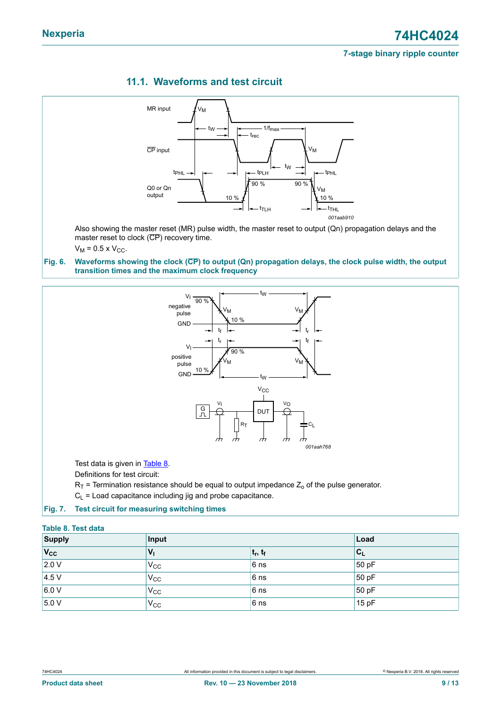<span id="page-8-1"></span>

### <span id="page-8-3"></span>**11.1. Waveforms and test circuit**

<span id="page-8-0"></span>



Test data is given in [Table](#page-8-2) 8.

Definitions for test circuit:

 $R_T$  = Termination resistance should be equal to output impedance  $Z_0$  of the pulse generator.

<span id="page-8-2"></span> $C_L$  = Load capacitance including jig and probe capacitance.

#### **Fig. 7. Test circuit for measuring switching times**

| <b>Table 8. Test data</b> |              |             |                           |
|---------------------------|--------------|-------------|---------------------------|
| Supply                    | Input        |             | Load                      |
| $ V_{CC} $                | $V_{1}$      | $ t_r, t_f$ | $\mathsf{C}_{\mathsf{L}}$ |
| 2.0 V                     | $V_{\rm CC}$ | $6$ ns      | 50 pF                     |
| 4.5 V                     | $V_{\rm CC}$ | 6 ns        | 50 pF                     |
| 6.0 V                     | $V_{CC}$     | 6 ns        | 50pF                      |
| 5.0 V                     | $V_{CC}$     | $6$ ns      | 15pF                      |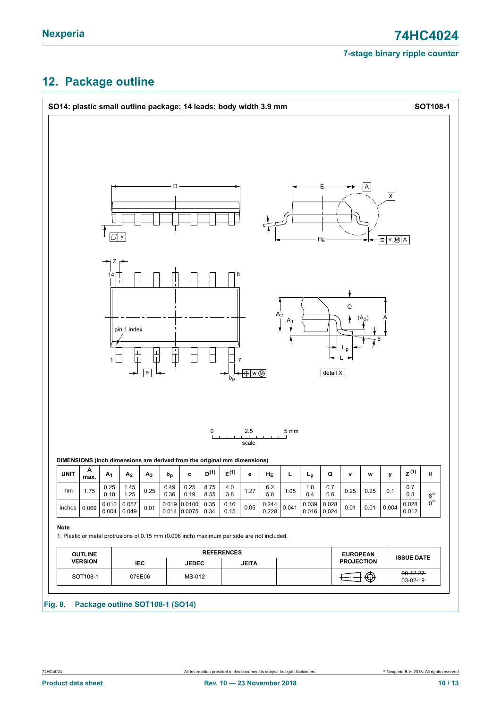## <span id="page-9-0"></span>**12. Package outline**



#### **Fig. 8. Package outline SOT108-1 (SO14)**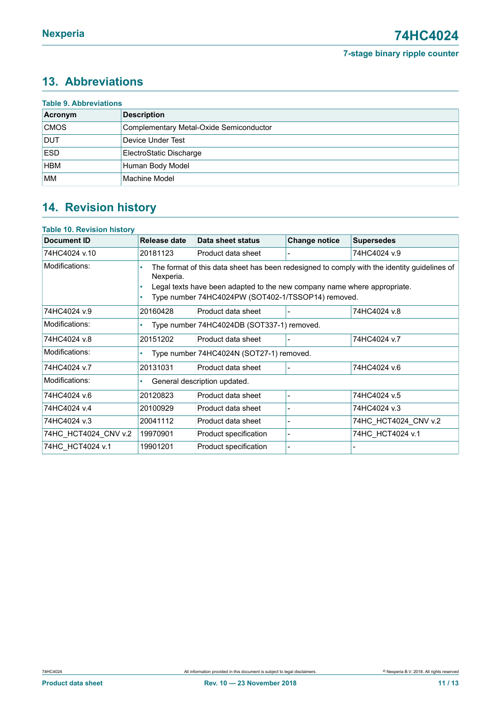# <span id="page-10-0"></span>**13. Abbreviations**

| Acronym     | <b>Description</b>                      |
|-------------|-----------------------------------------|
| <b>CMOS</b> | Complementary Metal-Oxide Semiconductor |
| <b>DUT</b>  | Device Under Test                       |
| <b>ESD</b>  | ElectroStatic Discharge                 |
| <b>HBM</b>  | Human Body Model                        |
| <b>MM</b>   | Machine Model                           |

# <span id="page-10-1"></span>**14. Revision history**

#### **Table 10. Revision history**

| Document ID          | Release date                                                                                                                                                                                                                                    | Data sheet status     | <b>Change notice</b>     | <b>Supersedes</b>    |  |
|----------------------|-------------------------------------------------------------------------------------------------------------------------------------------------------------------------------------------------------------------------------------------------|-----------------------|--------------------------|----------------------|--|
| 74HC4024 v.10        | 20181123                                                                                                                                                                                                                                        | Product data sheet    |                          | 74HC4024 v.9         |  |
| Modifications:       | The format of this data sheet has been redesigned to comply with the identity guidelines of<br>Nexperia.<br>Legal texts have been adapted to the new company name where appropriate.<br>Type number 74HC4024PW (SOT402-1/TSSOP14) removed.<br>٠ |                       |                          |                      |  |
| 74HC4024 v.9         | 20160428                                                                                                                                                                                                                                        | Product data sheet    |                          | 74HC4024 v.8         |  |
| Modifications:       | Type number 74HC4024DB (SOT337-1) removed.                                                                                                                                                                                                      |                       |                          |                      |  |
| 74HC4024 v.8         | 20151202                                                                                                                                                                                                                                        | Product data sheet    |                          | 74HC4024 v.7         |  |
| Modifications:       | Type number 74HC4024N (SOT27-1) removed.                                                                                                                                                                                                        |                       |                          |                      |  |
| 74HC4024 v.7         | 20131031                                                                                                                                                                                                                                        | Product data sheet    |                          | 74HC4024 v.6         |  |
| Modifications:       | General description updated.                                                                                                                                                                                                                    |                       |                          |                      |  |
| 74HC4024 v.6         | 20120823                                                                                                                                                                                                                                        | Product data sheet    |                          | 74HC4024 v.5         |  |
| 74HC4024 v.4         | 20100929                                                                                                                                                                                                                                        | Product data sheet    |                          | 74HC4024 v.3         |  |
| 74HC4024 v.3         | 20041112                                                                                                                                                                                                                                        | Product data sheet    |                          | 74HC HCT4024 CNV v.2 |  |
| 74HC HCT4024 CNV v.2 | 19970901                                                                                                                                                                                                                                        | Product specification | $\overline{\phantom{a}}$ | 74HC HCT4024 v.1     |  |
| 74HC HCT4024 v.1     | 19901201                                                                                                                                                                                                                                        | Product specification |                          |                      |  |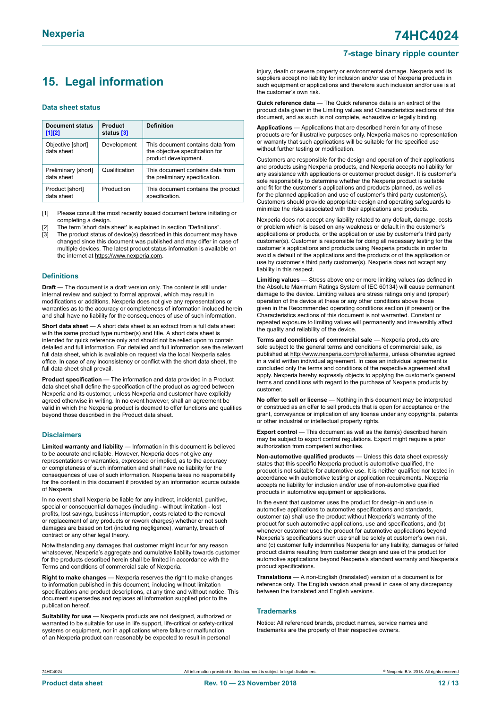# <span id="page-11-0"></span>**15. Legal information**

#### **Data sheet status**

| <b>Document status</b><br>$[1]$ [2] | Product<br>status [3] | <b>Definition</b>                                                                           |
|-------------------------------------|-----------------------|---------------------------------------------------------------------------------------------|
| Objective [short]<br>data sheet     | Development           | This document contains data from<br>the objective specification for<br>product development. |
| Preliminary [short]<br>data sheet   | Qualification         | This document contains data from<br>the preliminary specification.                          |
| Product [short]<br>data sheet       | Production            | This document contains the product<br>specification.                                        |

[1] Please consult the most recently issued document before initiating or completing a design.

The term 'short data sheet' is explained in section "Definitions".

[3] The product status of device(s) described in this document may have changed since this document was published and may differ in case of multiple devices. The latest product status information is available on the internet at [https://www.nexperia.com.](https://www.nexperia.com)

#### **Definitions**

**Draft** — The document is a draft version only. The content is still under internal review and subject to formal approval, which may result in modifications or additions. Nexperia does not give any representations or warranties as to the accuracy or completeness of information included herein and shall have no liability for the consequences of use of such information.

**Short data sheet** — A short data sheet is an extract from a full data sheet with the same product type number(s) and title. A short data sheet is intended for quick reference only and should not be relied upon to contain detailed and full information. For detailed and full information see the relevant full data sheet, which is available on request via the local Nexperia sales office. In case of any inconsistency or conflict with the short data sheet, the full data sheet shall prevail.

**Product specification** — The information and data provided in a Product data sheet shall define the specification of the product as agreed between Nexperia and its customer, unless Nexperia and customer have explicitly agreed otherwise in writing. In no event however, shall an agreement be valid in which the Nexperia product is deemed to offer functions and qualities beyond those described in the Product data sheet.

#### **Disclaimers**

**Limited warranty and liability** — Information in this document is believed to be accurate and reliable. However, Nexperia does not give any representations or warranties, expressed or implied, as to the accuracy or completeness of such information and shall have no liability for the consequences of use of such information. Nexperia takes no responsibility for the content in this document if provided by an information source outside of Nexperia.

In no event shall Nexperia be liable for any indirect, incidental, punitive, special or consequential damages (including - without limitation - lost profits, lost savings, business interruption, costs related to the removal or replacement of any products or rework charges) whether or not such damages are based on tort (including negligence), warranty, breach of contract or any other legal theory.

Notwithstanding any damages that customer might incur for any reason whatsoever, Nexperia's aggregate and cumulative liability towards customer for the products described herein shall be limited in accordance with the Terms and conditions of commercial sale of Nexperia.

**Right to make changes** — Nexperia reserves the right to make changes to information published in this document, including without limitation specifications and product descriptions, at any time and without notice. This document supersedes and replaces all information supplied prior to the publication hereof

**Suitability for use** — Nexperia products are not designed, authorized or warranted to be suitable for use in life support, life-critical or safety-critical systems or equipment, nor in applications where failure or malfunction of an Nexperia product can reasonably be expected to result in personal

injury, death or severe property or environmental damage. Nexperia and its suppliers accept no liability for inclusion and/or use of Nexperia products in such equipment or applications and therefore such inclusion and/or use is at the customer's own risk.

**Quick reference data** — The Quick reference data is an extract of the product data given in the Limiting values and Characteristics sections of this document, and as such is not complete, exhaustive or legally binding.

**Applications** — Applications that are described herein for any of these products are for illustrative purposes only. Nexperia makes no representation or warranty that such applications will be suitable for the specified use without further testing or modification.

Customers are responsible for the design and operation of their applications and products using Nexperia products, and Nexperia accepts no liability for any assistance with applications or customer product design. It is customer's sole responsibility to determine whether the Nexperia product is suitable and fit for the customer's applications and products planned, as well as for the planned application and use of customer's third party customer(s). Customers should provide appropriate design and operating safeguards to minimize the risks associated with their applications and products.

Nexperia does not accept any liability related to any default, damage, costs or problem which is based on any weakness or default in the customer's applications or products, or the application or use by customer's third party customer(s). Customer is responsible for doing all necessary testing for the customer's applications and products using Nexperia products in order to avoid a default of the applications and the products or of the application or use by customer's third party customer(s). Nexperia does not accept any liability in this respect.

**Limiting values** — Stress above one or more limiting values (as defined in the Absolute Maximum Ratings System of IEC 60134) will cause permanent damage to the device. Limiting values are stress ratings only and (proper) operation of the device at these or any other conditions above those given in the Recommended operating conditions section (if present) or the Characteristics sections of this document is not warranted. Constant or repeated exposure to limiting values will permanently and irreversibly affect the quality and reliability of the device.

**Terms and conditions of commercial sale** — Nexperia products are sold subject to the general terms and conditions of commercial sale, as published at [http://www.nexperia.com/profile/terms,](http://www.nexperia.com/profile/terms) unless otherwise agreed in a valid written individual agreement. In case an individual agreement is concluded only the terms and conditions of the respective agreement shall apply. Nexperia hereby expressly objects to applying the customer's general terms and conditions with regard to the purchase of Nexperia products by customer.

**No offer to sell or license** — Nothing in this document may be interpreted or construed as an offer to sell products that is open for acceptance or the grant, conveyance or implication of any license under any copyrights, patents or other industrial or intellectual property rights.

**Export control** — This document as well as the item(s) described herein may be subject to export control regulations. Export might require a prior authorization from competent authorities.

**Non-automotive qualified products** — Unless this data sheet expressly states that this specific Nexperia product is automotive qualified, the product is not suitable for automotive use. It is neither qualified nor tested in accordance with automotive testing or application requirements. Nexperia accepts no liability for inclusion and/or use of non-automotive qualified products in automotive equipment or applications.

In the event that customer uses the product for design-in and use in automotive applications to automotive specifications and standards, customer (a) shall use the product without Nexperia's warranty of the product for such automotive applications, use and specifications, and (b) whenever customer uses the product for automotive applications beyond Nexperia's specifications such use shall be solely at customer's own risk, and (c) customer fully indemnifies Nexperia for any liability, damages or failed product claims resulting from customer design and use of the product for automotive applications beyond Nexperia's standard warranty and Nexperia's product specifications.

**Translations** — A non-English (translated) version of a document is for reference only. The English version shall prevail in case of any discrepancy between the translated and English versions.

#### **Trademarks**

Notice: All referenced brands, product names, service names and trademarks are the property of their respective owners.